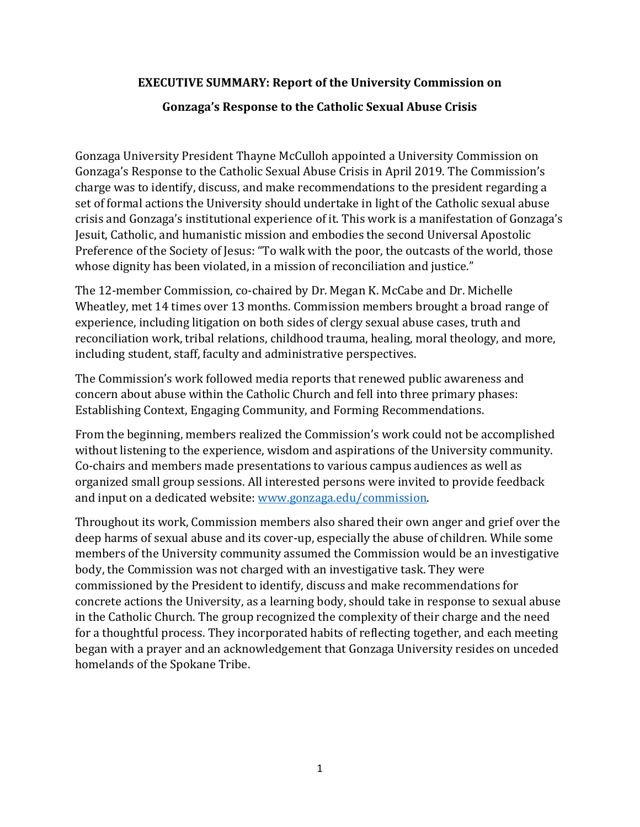## **EXECUTIVE SUMMARY: Report of the University Commission on**

## **Gonzaga's Response to the Catholic Sexual Abuse Crisis**

Gonzaga University President Thayne McCulloh appointed a University Commission on Gonzaga's Response to the Catholic Sexual Abuse Crisis in April 2019. The Commission's charge was to identify, discuss, and make recommendations to the president regarding a set of formal actions the University should undertake in light of the Catholic sexual abuse crisis and Gonzaga's institutional experience of it. This work is a manifestation of Gonzaga's Jesuit, Catholic, and humanistic mission and embodies the second Universal Apostolic Preference of the Society of Jesus: "To walk with the poor, the outcasts of the world, those whose dignity has been violated, in a mission of reconciliation and justice."

The 12-member Commission, co-chaired by Dr. Megan K. McCabe and Dr. Michelle Wheatley, met 14 times over 13 months. Commission members brought a broad range of experience, including litigation on both sides of clergy sexual abuse cases, truth and reconciliation work, tribal relations, childhood trauma, healing, moral theology, and more, including student, staff, faculty and administrative perspectives.

The Commission's work followed media reports that renewed public awareness and concern about abuse within the Catholic Church and fell into three primary phases: Establishing Context, Engaging Community, and Forming Recommendations.

From the beginning, members realized the Commission's work could not be accomplished without listening to the experience, wisdom and aspirations of the University community. Co-chairs and members made presentations to various campus audiences as well as organized small group sessions. All interested persons were invited to provide feedback and input on a dedicated website: [www.gonzaga.edu/commission.](http://www.gonzaga.edu/commission)

Throughout its work, Commission members also shared their own anger and grief over the deep harms of sexual abuse and its cover-up, especially the abuse of children. While some members of the University community assumed the Commission would be an investigative body, the Commission was not charged with an investigative task. They were commissioned by the President to identify, discuss and make recommendations for concrete actions the University, as a learning body, should take in response to sexual abuse in the Catholic Church. The group recognized the complexity of their charge and the need for a thoughtful process. They incorporated habits of reflecting together, and each meeting began with a prayer and an acknowledgement that Gonzaga University resides on unceded homelands of the Spokane Tribe.